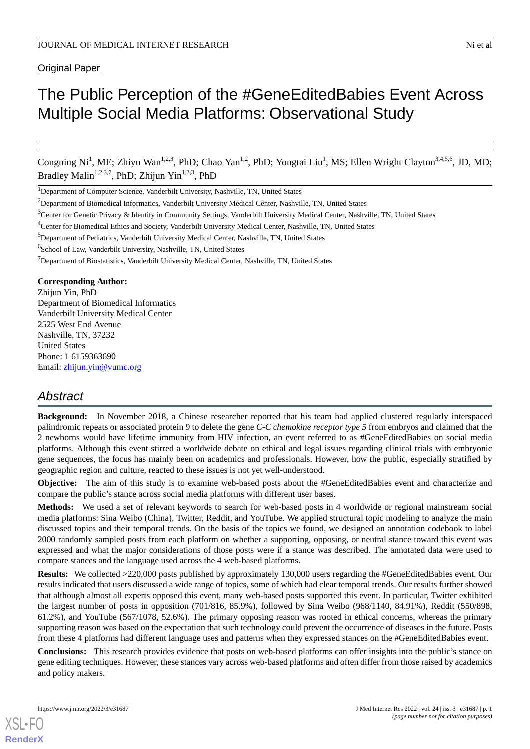Original Paper

# The Public Perception of the #GeneEditedBabies Event Across Multiple Social Media Platforms: Observational Study

Congning Ni<sup>1</sup>, ME; Zhiyu Wan<sup>1,2,3</sup>, PhD; Chao Yan<sup>1,2</sup>, PhD; Yongtai Liu<sup>1</sup>, MS; Ellen Wright Clayton<sup>3,4,5,6</sup>, JD, MD; Bradley Malin<sup>1,2,3,7</sup>, PhD; Zhijun Yin<sup>1,2,3</sup>, PhD

<sup>1</sup>Department of Computer Science, Vanderbilt University, Nashville, TN, United States

6 School of Law, Vanderbilt University, Nashville, TN, United States

<sup>7</sup>Department of Biostatistics, Vanderbilt University Medical Center, Nashville, TN, United States

#### **Corresponding Author:**

Zhijun Yin, PhD Department of Biomedical Informatics Vanderbilt University Medical Center 2525 West End Avenue Nashville, TN, 37232 United States Phone: 1 6159363690 Email: [zhijun.yin@vumc.org](mailto:zhijun.yin@vumc.org)

# *Abstract*

**Background:** In November 2018, a Chinese researcher reported that his team had applied clustered regularly interspaced palindromic repeats or associated protein 9 to delete the gene *C-C chemokine receptor type 5* from embryos and claimed that the 2 newborns would have lifetime immunity from HIV infection, an event referred to as #GeneEditedBabies on social media platforms. Although this event stirred a worldwide debate on ethical and legal issues regarding clinical trials with embryonic gene sequences, the focus has mainly been on academics and professionals. However, how the public, especially stratified by geographic region and culture, reacted to these issues is not yet well-understood.

**Objective:** The aim of this study is to examine web-based posts about the #GeneEditedBabies event and characterize and compare the public's stance across social media platforms with different user bases.

**Methods:** We used a set of relevant keywords to search for web-based posts in 4 worldwide or regional mainstream social media platforms: Sina Weibo (China), Twitter, Reddit, and YouTube. We applied structural topic modeling to analyze the main discussed topics and their temporal trends. On the basis of the topics we found, we designed an annotation codebook to label 2000 randomly sampled posts from each platform on whether a supporting, opposing, or neutral stance toward this event was expressed and what the major considerations of those posts were if a stance was described. The annotated data were used to compare stances and the language used across the 4 web-based platforms.

**Results:** We collected >220,000 posts published by approximately 130,000 users regarding the #GeneEditedBabies event. Our results indicated that users discussed a wide range of topics, some of which had clear temporal trends. Our results further showed that although almost all experts opposed this event, many web-based posts supported this event. In particular, Twitter exhibited the largest number of posts in opposition (701/816, 85.9%), followed by Sina Weibo (968/1140, 84.91%), Reddit (550/898, 61.2%), and YouTube (567/1078, 52.6%). The primary opposing reason was rooted in ethical concerns, whereas the primary supporting reason was based on the expectation that such technology could prevent the occurrence of diseases in the future. Posts from these 4 platforms had different language uses and patterns when they expressed stances on the #GeneEditedBabies event.

**Conclusions:** This research provides evidence that posts on web-based platforms can offer insights into the public's stance on gene editing techniques. However, these stances vary across web-based platforms and often differ from those raised by academics and policy makers.

<sup>&</sup>lt;sup>2</sup>Department of Biomedical Informatics, Vanderbilt University Medical Center, Nashville, TN, United States

 $3$ Center for Genetic Privacy & Identity in Community Settings, Vanderbilt University Medical Center, Nashville, TN, United States

<sup>4</sup>Center for Biomedical Ethics and Society, Vanderbilt University Medical Center, Nashville, TN, United States

<sup>&</sup>lt;sup>5</sup>Department of Pediatrics, Vanderbilt University Medical Center, Nashville, TN, United States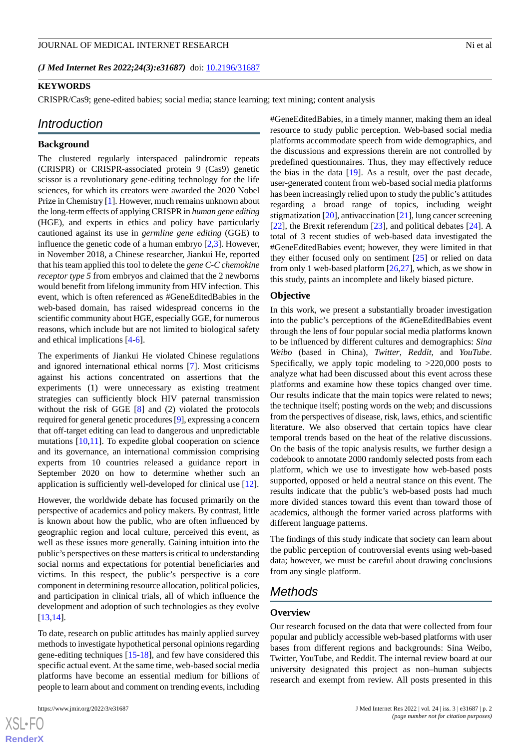*(J Med Internet Res 2022;24(3):e31687)* doi: [10.2196/31687](http://dx.doi.org/10.2196/31687)

#### **KEYWORDS**

CRISPR/Cas9; gene-edited babies; social media; stance learning; text mining; content analysis

#### *Introduction*

#### **Background**

The clustered regularly interspaced palindromic repeats (CRISPR) or CRISPR-associated protein 9 (Cas9) genetic scissor is a revolutionary gene-editing technology for the life sciences, for which its creators were awarded the 2020 Nobel Prize in Chemistry [\[1](#page-12-0)]. However, much remains unknown about the long-term effects of applying CRISPR in *human gene editing* (HGE), and experts in ethics and policy have particularly cautioned against its use in *germline gene editing* (GGE) to influence the genetic code of a human embryo [[2](#page-12-1)[,3](#page-12-2)]. However, in November 2018, a Chinese researcher, Jiankui He, reported that his team applied this tool to delete the *gene C-C chemokine receptor type 5* from embryos and claimed that the 2 newborns would benefit from lifelong immunity from HIV infection. This event, which is often referenced as #GeneEditedBabies in the web-based domain, has raised widespread concerns in the scientific community about HGE, especially GGE, for numerous reasons, which include but are not limited to biological safety and ethical implications [[4](#page-12-3)[-6](#page-12-4)].

The experiments of Jiankui He violated Chinese regulations and ignored international ethical norms [\[7](#page-12-5)]. Most criticisms against his actions concentrated on assertions that the experiments (1) were unnecessary as existing treatment strategies can sufficiently block HIV paternal transmission without the risk of GGE [\[8](#page-12-6)] and (2) violated the protocols required for general genetic procedures [[9\]](#page-12-7), expressing a concern that off-target editing can lead to dangerous and unpredictable mutations [\[10](#page-12-8),[11\]](#page-12-9). To expedite global cooperation on science and its governance, an international commission comprising experts from 10 countries released a guidance report in September 2020 on how to determine whether such an application is sufficiently well-developed for clinical use [\[12](#page-12-10)].

However, the worldwide debate has focused primarily on the perspective of academics and policy makers. By contrast, little is known about how the public, who are often influenced by geographic region and local culture, perceived this event, as well as these issues more generally. Gaining intuition into the public's perspectives on these matters is critical to understanding social norms and expectations for potential beneficiaries and victims. In this respect, the public's perspective is a core component in determining resource allocation, political policies, and participation in clinical trials, all of which influence the development and adoption of such technologies as they evolve [[13](#page-12-11)[,14](#page-12-12)].

To date, research on public attitudes has mainly applied survey methods to investigate hypothetical personal opinions regarding gene-editing techniques [[15](#page-12-13)[-18](#page-13-0)], and few have considered this specific actual event. At the same time, web-based social media platforms have become an essential medium for billions of people to learn about and comment on trending events, including

 $XS$  $\cdot$ FC **[RenderX](http://www.renderx.com/)**

#GeneEditedBabies, in a timely manner, making them an ideal resource to study public perception. Web-based social media platforms accommodate speech from wide demographics, and the discussions and expressions therein are not controlled by predefined questionnaires. Thus, they may effectively reduce the bias in the data [\[19](#page-13-1)]. As a result, over the past decade, user-generated content from web-based social media platforms has been increasingly relied upon to study the public's attitudes regarding a broad range of topics, including weight stigmatization [[20\]](#page-13-2), antivaccination [\[21](#page-13-3)], lung cancer screening [[22\]](#page-13-4), the Brexit referendum [[23\]](#page-13-5), and political debates [\[24](#page-13-6)]. A total of 3 recent studies of web-based data investigated the #GeneEditedBabies event; however, they were limited in that they either focused only on sentiment [[25\]](#page-13-7) or relied on data from only 1 web-based platform [[26,](#page-13-8)[27](#page-13-9)], which, as we show in

this study, paints an incomplete and likely biased picture.

#### **Objective**

In this work, we present a substantially broader investigation into the public's perceptions of the #GeneEditedBabies event through the lens of four popular social media platforms known to be influenced by different cultures and demographics: *Sina Weibo* (based in China), *Twitter*, *Reddit*, and *YouTube*. Specifically, we apply topic modeling to >220,000 posts to analyze what had been discussed about this event across these platforms and examine how these topics changed over time. Our results indicate that the main topics were related to news; the technique itself; posting words on the web; and discussions from the perspectives of disease, risk, laws, ethics, and scientific literature. We also observed that certain topics have clear temporal trends based on the heat of the relative discussions. On the basis of the topic analysis results, we further design a codebook to annotate 2000 randomly selected posts from each platform, which we use to investigate how web-based posts supported, opposed or held a neutral stance on this event. The results indicate that the public's web-based posts had much more divided stances toward this event than toward those of academics, although the former varied across platforms with different language patterns.

The findings of this study indicate that society can learn about the public perception of controversial events using web-based data; however, we must be careful about drawing conclusions from any single platform.

#### *Methods*

#### **Overview**

Our research focused on the data that were collected from four popular and publicly accessible web-based platforms with user bases from different regions and backgrounds: Sina Weibo, Twitter, YouTube, and Reddit. The internal review board at our university designated this project as non–human subjects research and exempt from review. All posts presented in this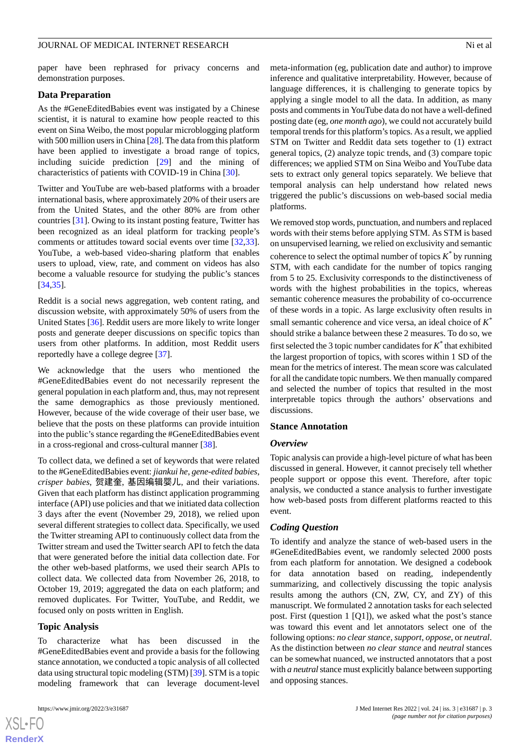paper have been rephrased for privacy concerns and demonstration purposes.

#### **Data Preparation**

As the #GeneEditedBabies event was instigated by a Chinese scientist, it is natural to examine how people reacted to this event on Sina Weibo, the most popular microblogging platform with 500 million users in China [\[28](#page-13-10)]. The data from this platform have been applied to investigate a broad range of topics, including suicide prediction [\[29](#page-13-11)] and the mining of characteristics of patients with COVID-19 in China [[30\]](#page-13-12).

Twitter and YouTube are web-based platforms with a broader international basis, where approximately 20% of their users are from the United States, and the other 80% are from other countries [[31\]](#page-13-13). Owing to its instant posting feature, Twitter has been recognized as an ideal platform for tracking people's comments or attitudes toward social events over time [\[32](#page-13-14),[33\]](#page-13-15). YouTube, a web-based video-sharing platform that enables users to upload, view, rate, and comment on videos has also become a valuable resource for studying the public's stances [[34](#page-13-16)[,35](#page-13-17)].

Reddit is a social news aggregation, web content rating, and discussion website, with approximately 50% of users from the United States [\[36](#page-13-18)]. Reddit users are more likely to write longer posts and generate deeper discussions on specific topics than users from other platforms. In addition, most Reddit users reportedly have a college degree [[37\]](#page-13-19).

We acknowledge that the users who mentioned the #GeneEditedBabies event do not necessarily represent the general population in each platform and, thus, may not represent the same demographics as those previously mentioned. However, because of the wide coverage of their user base, we believe that the posts on these platforms can provide intuition into the public's stance regarding the #GeneEditedBabies event in a cross-regional and cross-cultural manner [\[38](#page-13-20)].

To collect data, we defined a set of keywords that were related to the #GeneEditedBabies event: *jiankui he*, *gene-edited babies*, *crisper babies*, 贺建奎, 基因编辑婴儿, and their variations. Given that each platform has distinct application programming interface (API) use policies and that we initiated data collection 3 days after the event (November 29, 2018), we relied upon several different strategies to collect data. Specifically, we used the Twitter streaming API to continuously collect data from the Twitter stream and used the Twitter search API to fetch the data that were generated before the initial data collection date. For the other web-based platforms, we used their search APIs to collect data. We collected data from November 26, 2018, to October 19, 2019; aggregated the data on each platform; and removed duplicates. For Twitter, YouTube, and Reddit, we focused only on posts written in English.

#### **Topic Analysis**

To characterize what has been discussed in the #GeneEditedBabies event and provide a basis for the following stance annotation, we conducted a topic analysis of all collected data using structural topic modeling (STM) [\[39\]](#page-13-21). STM is a topic modeling framework that can leverage document-level

meta-information (eg, publication date and author) to improve inference and qualitative interpretability. However, because of language differences, it is challenging to generate topics by applying a single model to all the data. In addition, as many posts and comments in YouTube data do not have a well-defined posting date (eg, *one month ago*), we could not accurately build temporal trends for this platform's topics. As a result, we applied STM on Twitter and Reddit data sets together to (1) extract general topics, (2) analyze topic trends, and (3) compare topic differences; we applied STM on Sina Weibo and YouTube data sets to extract only general topics separately. We believe that temporal analysis can help understand how related news triggered the public's discussions on web-based social media platforms.

We removed stop words, punctuation, and numbers and replaced words with their stems before applying STM. As STM is based on unsupervised learning, we relied on exclusivity and semantic coherence to select the optimal number of topics  $K^*$  by running STM, with each candidate for the number of topics ranging from 5 to 25. Exclusivity corresponds to the distinctiveness of words with the highest probabilities in the topics, whereas semantic coherence measures the probability of co-occurrence of these words in a topic. As large exclusivity often results in small semantic coherence and vice versa, an ideal choice of *K \** should strike a balance between these 2 measures. To do so, we first selected the 3 topic number candidates for *K \** that exhibited the largest proportion of topics, with scores within 1 SD of the mean for the metrics of interest. The mean score was calculated for all the candidate topic numbers. We then manually compared and selected the number of topics that resulted in the most interpretable topics through the authors' observations and discussions.

#### **Stance Annotation**

#### *Overview*

Topic analysis can provide a high-level picture of what has been discussed in general. However, it cannot precisely tell whether people support or oppose this event. Therefore, after topic analysis, we conducted a stance analysis to further investigate how web-based posts from different platforms reacted to this event.

#### *Coding Question*

To identify and analyze the stance of web-based users in the #GeneEditedBabies event, we randomly selected 2000 posts from each platform for annotation. We designed a codebook for data annotation based on reading, independently summarizing, and collectively discussing the topic analysis results among the authors (CN, ZW, CY, and ZY) of this manuscript. We formulated 2 annotation tasks for each selected post. First (question 1 [Q1]), we asked what the post's stance was toward this event and let annotators select one of the following options: *no clear stance*, *support*, *oppose*, or *neutral*. As the distinction between *no clear stance* and *neutral* stances can be somewhat nuanced, we instructed annotators that a post with *a neutral* stance must explicitly balance between supporting and opposing stances.

```
XSL•FO
RenderX
```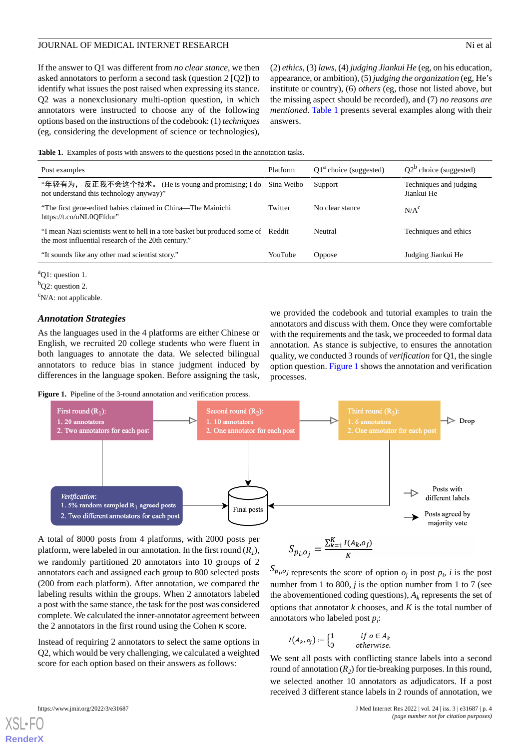If the answer to Q1 was different from *no clear stance*, we then asked annotators to perform a second task (question 2 [Q2]) to identify what issues the post raised when expressing its stance. Q2 was a nonexclusionary multi-option question, in which annotators were instructed to choose any of the following options based on the instructions of the codebook: (1) *techniques* (eg, considering the development of science or technologies),

(2) *ethics*, (3) *laws*, (4) *judging Jiankui He* (eg, on his education, appearance, or ambition), (5) *judging the organization* (eg, He's institute or country), (6) *others* (eg, those not listed above, but the missing aspect should be recorded), and (7) *no reasons are mentioned*. [Table 1](#page-3-0) presents several examples along with their answers.

<span id="page-3-0"></span>**Table 1.** Examples of posts with answers to the questions posed in the annotation tasks.

| Post examples                                                                                                                            | Platform   | $Q1a$ choice (suggested) | $Q2^b$ choice (suggested)            |  |
|------------------------------------------------------------------------------------------------------------------------------------------|------------|--------------------------|--------------------------------------|--|
| "年轻有为, 反正我不会这个技术。 (He is young and promising; I do<br>not understand this technology anyway)"                                            | Sina Weibo | Support                  | Techniques and judging<br>Jiankui He |  |
| "The first gene-edited babies claimed in China—The Mainichi<br>https://t.co/uNL0OFfdur"                                                  | Twitter    | No clear stance          | N/A <sup>c</sup>                     |  |
| "I mean Nazi scientists went to hell in a tote basket but produced some of Reddit<br>the most influential research of the 20th century." |            | Neutral                  | Techniques and ethics                |  |
| "It sounds like any other mad scientist story."                                                                                          | YouTube    | <b>Oppose</b>            | Judging Jiankui He                   |  |
|                                                                                                                                          |            |                          |                                      |  |

 ${}^a$ Q1: question 1.

 $\rm^cN/A$ : not applicable.

#### *Annotation Strategies*

<span id="page-3-1"></span>As the languages used in the 4 platforms are either Chinese or English, we recruited 20 college students who were fluent in both languages to annotate the data. We selected bilingual annotators to reduce bias in stance judgment induced by differences in the language spoken. Before assigning the task,

we provided the codebook and tutorial examples to train the annotators and discuss with them. Once they were comfortable with the requirements and the task, we proceeded to formal data annotation. As stance is subjective, to ensures the annotation quality, we conducted 3 rounds of *verification* for Q1, the single option question. [Figure 1](#page-3-1) shows the annotation and verification processes.

Figure 1. Pipeline of the 3-round annotation and verification process.



A total of 8000 posts from 4 platforms, with 2000 posts per platform, were labeled in our annotation. In the first round  $(R<sub>1</sub>)$ , we randomly partitioned 20 annotators into 10 groups of 2 annotators each and assigned each group to 800 selected posts (200 from each platform). After annotation, we compared the labeling results within the groups. When 2 annotators labeled a post with the same stance, the task for the post was considered complete. We calculated the inner-annotator agreement between the 2 annotators in the first round using the Cohen κ score.

Instead of requiring 2 annotators to select the same options in Q2, which would be very challenging, we calculated a weighted score for each option based on their answers as follows:

$$
S_{p_i, o_j} = \frac{\sum_{k=1}^{K} I(A_k, o_j)}{K}
$$

represents the score of option  $o_j$  in post  $p_i$ , *i* is the post number from 1 to 800, *j* is the option number from 1 to 7 (see the abovementioned coding questions),  $A_k$  represents the set of options that annotator *k* chooses, and *K* is the total number of annotators who labeled post *p<sup>i</sup>* :

$$
I\big(A_k,o_j\big):=\begin{cases} 1 \qquad & if \; o\in A_k \\ 0 \qquad & otherwise. \end{cases}
$$

We sent all posts with conflicting stance labels into a second round of annotation (*R<sup>2</sup>* ) for tie-breaking purposes. In this round, we selected another 10 annotators as adjudicators. If a post received 3 different stance labels in 2 rounds of annotation, we

<sup>b</sup>Q2: question 2.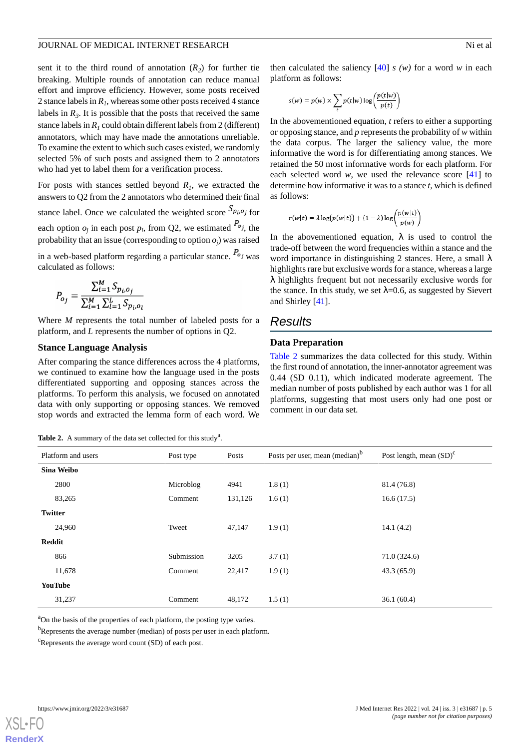sent it to the third round of annotation  $(R_2)$  for further tie breaking. Multiple rounds of annotation can reduce manual effort and improve efficiency. However, some posts received 2 stance labels in *R<sup>1</sup>* , whereas some other posts received 4 stance labels in  $R_3$ . It is possible that the posts that received the same stance labels in  $R<sub>1</sub>$  could obtain different labels from 2 (different) annotators, which may have made the annotations unreliable. To examine the extent to which such cases existed, we randomly selected 5% of such posts and assigned them to 2 annotators who had yet to label them for a verification process.

For posts with stances settled beyond  $R<sub>1</sub>$ , we extracted the answers to Q2 from the 2 annotators who determined their final stance label. Once we calculated the weighted score  $S_{p_i, o_j}$  for each option  $o_j$  in each post  $p_i$ , from Q2, we estimated  $\lambda o_j$ , the probability that an issue (corresponding to option  $o_j$ ) was raised

in a web-based platform regarding a particular stance.  $P_{oj}$  was calculated as follows:

$$
P_{o_j} = \frac{\sum_{i=1}^{M} S_{p_i, o_j}}{\sum_{i=1}^{M} \sum_{l=1}^{L} S_{p_i, o_l}}
$$

Where *M* represents the total number of labeled posts for a platform, and *L* represents the number of options in Q2.

#### **Stance Language Analysis**

<span id="page-4-0"></span>After comparing the stance differences across the 4 platforms, we continued to examine how the language used in the posts differentiated supporting and opposing stances across the platforms. To perform this analysis, we focused on annotated data with only supporting or opposing stances. We removed stop words and extracted the lemma form of each word. We

Table 2. A summary of the data set collected for this study<sup>a</sup>.

then calculated the saliency  $[40]$  $[40]$  *s (w)* for a word *w* in each platform as follows:

$$
s(w) = p(w) \times \sum_{t} p(t|w) \log \left( \frac{p(t|w)}{p(t)} \right)
$$

In the abovementioned equation, *t* refers to either a supporting or opposing stance, and *p* represents the probability of *w* within the data corpus. The larger the saliency value, the more informative the word is for differentiating among stances. We retained the 50 most informative words for each platform. For each selected word *w*, we used the relevance score [\[41](#page-14-0)] to determine how informative it was to a stance *t*, which is defined as follows:

$$
r(w|t) = \lambda \log(p(w|t)) + (1 - \lambda) \log \left( \frac{p(w|t)}{p(w)} \right)
$$

In the abovementioned equation,  $\lambda$  is used to control the trade-off between the word frequencies within a stance and the word importance in distinguishing 2 stances. Here, a small  $\lambda$ highlights rare but exclusive words for a stance, whereas a large λ highlights frequent but not necessarily exclusive words for the stance. In this study, we set  $\lambda$ =0.6, as suggested by Sievert and Shirley [\[41](#page-14-0)].

## *Results*

#### **Data Preparation**

[Table 2](#page-4-0) summarizes the data collected for this study. Within the first round of annotation, the inner-annotator agreement was 0.44 (SD 0.11), which indicated moderate agreement. The median number of posts published by each author was 1 for all platforms, suggesting that most users only had one post or comment in our data set.

|                | Platform and users | Post type  | Posts   | Posts per user, mean (median) <sup>b</sup> | Post length, mean $(SD)^{c}$ |
|----------------|--------------------|------------|---------|--------------------------------------------|------------------------------|
| Sina Weibo     |                    |            |         |                                            |                              |
|                | 2800               | Microblog  | 4941    | 1.8(1)                                     | 81.4 (76.8)                  |
|                | 83,265             | Comment    | 131,126 | 1.6(1)                                     | 16.6(17.5)                   |
| <b>Twitter</b> |                    |            |         |                                            |                              |
|                | 24,960             | Tweet      | 47,147  | 1.9(1)                                     | 14.1(4.2)                    |
| Reddit         |                    |            |         |                                            |                              |
|                | 866                | Submission | 3205    | 3.7(1)                                     | 71.0(324.6)                  |
|                | 11,678             | Comment    | 22,417  | 1.9(1)                                     | 43.3(65.9)                   |
| <b>YouTube</b> |                    |            |         |                                            |                              |
|                | 31,237             | Comment    | 48,172  | 1.5(1)                                     | 36.1(60.4)                   |

<sup>a</sup>On the basis of the properties of each platform, the posting type varies.

<sup>b</sup>Represents the average number (median) of posts per user in each platform.

<sup>c</sup>Represents the average word count (SD) of each post.

```
XSL•FO
```
**[RenderX](http://www.renderx.com/)**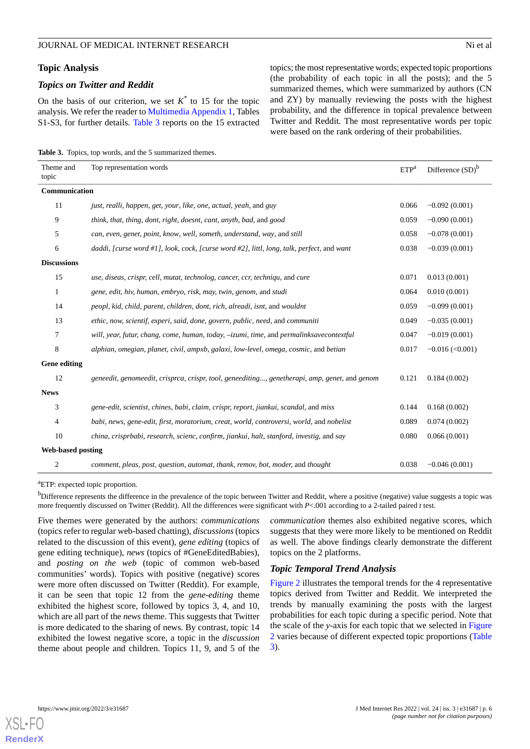#### **Topic Analysis**

#### *Topics on Twitter and Reddit*

On the basis of our criterion, we set  $K^*$  to 15 for the topic analysis. We refer the reader to [Multimedia Appendix 1](#page-12-14), Tables S1-S3, for further details. [Table 3](#page-5-0) reports on the 15 extracted topics; the most representative words; expected topic proportions (the probability of each topic in all the posts); and the 5 summarized themes, which were summarized by authors (CN and ZY) by manually reviewing the posts with the highest probability, and the difference in topical prevalence between Twitter and Reddit. The most representative words per topic were based on the rank ordering of their probabilities.

<span id="page-5-0"></span>**Table 3.** Topics, top words, and the 5 summarized themes.

| Theme and<br>topic       | Top representation words                                                                      | ETP <sup>a</sup> | Difference $(SD)^b$ |
|--------------------------|-----------------------------------------------------------------------------------------------|------------------|---------------------|
| Communication            |                                                                                               |                  |                     |
| 11                       | just, realli, happen, get, your, like, one, actual, yeah, and guy                             | 0.066            | $-0.092(0.001)$     |
| 9                        | think, that, thing, dont, right, doesnt, cant, anyth, bad, and good                           | 0.059            | $-0.090(0.001)$     |
| 5                        | can, even, genet, point, know, well, someth, understand, way, and still                       | 0.058            | $-0.078(0.001)$     |
| 6                        | daddi, [curse word #1], look, cock, [curse word #2], littl, long, talk, perfect, and want     | 0.038            | $-0.039(0.001)$     |
| <b>Discussions</b>       |                                                                                               |                  |                     |
| 15                       | use, diseas, crispr, cell, mutat, technolog, cancer, ccr, techniqu, and cure                  | 0.071            | 0.013(0.001)        |
| 1                        | gene, edit, hiv, human, embryo, risk, may, twin, genom, and studi                             | 0.064            | 0.010(0.001)        |
| 14                       | peopl, kid, child, parent, children, dont, rich, alreadi, isnt, and wouldnt                   | 0.059            | $-0.099(0.001)$     |
| 13                       | ethic, now, scientif, experi, said, done, govern, public, need, and communiti                 | 0.049            | $-0.035(0.001)$     |
| 7                        | will, year, futur, chang, come, human, today, -izumi, time, and permalinksavecontextful       | 0.047            | $-0.019(0.001)$     |
| 8                        | alphian, omegian, planet, civil, ampxb, galaxi, low-level, omega, cosmic, and betian          | 0.017            | $-0.016$ (<0.001)   |
| <b>Gene editing</b>      |                                                                                               |                  |                     |
| 12                       | geneedit, genomeedit, crisprca, crispr, tool, geneediting, genetherapi, amp, genet, and genom | 0.121            | 0.184(0.002)        |
| <b>News</b>              |                                                                                               |                  |                     |
| 3                        | gene-edit, scientist, chines, babi, claim, crispr, report, jiankui, scandal, and miss         | 0.144            | 0.168(0.002)        |
| 4                        | babi, news, gene-edit, first, moratorium, creat, world, controversi, world, and nobelist      | 0.089            | 0.074(0.002)        |
| 10                       | china, crisprbabi, research, scienc, confirm, jiankui, halt, stanford, investig, and say      | 0.080            | 0.066(0.001)        |
| <b>Web-based posting</b> |                                                                                               |                  |                     |
| 2                        | comment, pleas, post, question, automat, thank, remov, bot, moder, and thought                | 0.038            | $-0.046(0.001)$     |

<sup>a</sup>ETP: expected topic proportion.

<sup>b</sup>Difference represents the difference in the prevalence of the topic between Twitter and Reddit, where a positive (negative) value suggests a topic was more frequently discussed on Twitter (Reddit). All the differences were significant with *P*<.001 according to a 2-tailed paired *t* test.

Five themes were generated by the authors: *communications* (topics refer to regular web-based chatting), *discussions*(topics related to the discussion of this event), *gene editing* (topics of gene editing technique), *news* (topics of #GeneEditedBabies), and *posting on the web* (topic of common web-based communities' words). Topics with positive (negative) scores were more often discussed on Twitter (Reddit). For example, it can be seen that topic 12 from the *gene-editing* theme exhibited the highest score, followed by topics 3, 4, and 10, which are all part of the *news* theme. This suggests that Twitter is more dedicated to the sharing of news. By contrast, topic 14 exhibited the lowest negative score, a topic in the *discussion* theme about people and children. Topics 11, 9, and 5 of the

*communication* themes also exhibited negative scores, which suggests that they were more likely to be mentioned on Reddit as well. The above findings clearly demonstrate the different topics on the 2 platforms.

#### *Topic Temporal Trend Analysis*

[Figure 2](#page-6-0) illustrates the temporal trends for the 4 representative topics derived from Twitter and Reddit. We interpreted the trends by manually examining the posts with the largest probabilities for each topic during a specific period. Note that the scale of the *y*-axis for each topic that we selected in [Figure](#page-6-0) [2](#page-6-0) varies because of different expected topic proportions ([Table](#page-5-0) [3\)](#page-5-0).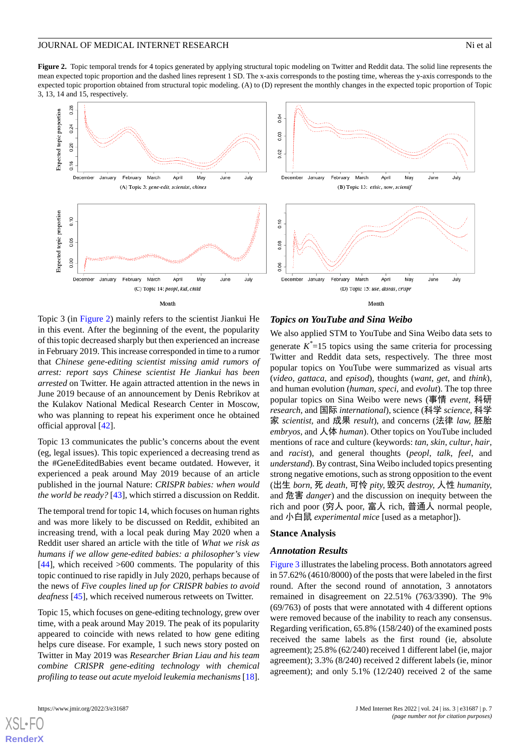<span id="page-6-0"></span>**Figure 2.** Topic temporal trends for 4 topics generated by applying structural topic modeling on Twitter and Reddit data. The solid line represents the mean expected topic proportion and the dashed lines represent 1 SD. The x-axis corresponds to the posting time, whereas the y-axis corresponds to the expected topic proportion obtained from structural topic modeling. (A) to (D) represent the monthly changes in the expected topic proportion of Topic 3, 13, 14 and 15, respectively.



Topic 3 (in [Figure 2\)](#page-6-0) mainly refers to the scientist Jiankui He in this event. After the beginning of the event, the popularity of this topic decreased sharply but then experienced an increase in February 2019. This increase corresponded in time to a rumor that *Chinese gene-editing scientist missing amid rumors of arrest: report says Chinese scientist He Jiankui has been arrested* on Twitter. He again attracted attention in the news in June 2019 because of an announcement by Denis Rebrikov at the Kulakov National Medical Research Center in Moscow, who was planning to repeat his experiment once he obtained official approval [[42\]](#page-14-1).

Topic 13 communicates the public's concerns about the event (eg, legal issues). This topic experienced a decreasing trend as the #GeneEditedBabies event became outdated. However, it experienced a peak around May 2019 because of an article published in the journal Nature: *CRISPR babies: when would the world be ready?* [\[43](#page-14-2)], which stirred a discussion on Reddit.

The temporal trend for topic 14, which focuses on human rights and was more likely to be discussed on Reddit, exhibited an increasing trend, with a local peak during May 2020 when a Reddit user shared an article with the title of *What we risk as humans if we allow gene-edited babies: a philosopher's view* [[44\]](#page-14-3), which received  $>600$  comments. The popularity of this topic continued to rise rapidly in July 2020, perhaps because of the news of *Five couples lined up for CRISPR babies to avoid deafness* [[45\]](#page-14-4), which received numerous retweets on Twitter.

Topic 15, which focuses on gene-editing technology, grew over time, with a peak around May 2019. The peak of its popularity appeared to coincide with news related to how gene editing helps cure disease. For example, 1 such news story posted on Twitter in May 2019 was *Researcher Brian Liau and his team combine CRISPR gene-editing technology with chemical profiling to tease out acute myeloid leukemia mechanisms* [[18\]](#page-13-0).

[XSL](http://www.w3.org/Style/XSL)•FO **[RenderX](http://www.renderx.com/)**

#### *Topics on YouTube and Sina Weibo*

We also applied STM to YouTube and Sina Weibo data sets to generate  $K^*$ =15 topics using the same criteria for processing Twitter and Reddit data sets, respectively. The three most popular topics on YouTube were summarized as visual arts (*video*, *gattaca*, and *episod*), thoughts (*want*, *get*, and *think*), and human evolution (*human*, *speci*, and *evolut*). The top three popular topics on Sina Weibo were news (事情 *event,* 科研 *research,* and 国际 *international*), science (科学 *science,* 科学 家 *scientist,* and 成果 *result*), and concerns (法律 *law,* 胚胎 *embryos,* and 人体 *human*). Other topics on YouTube included mentions of race and culture (keywords: *tan*, *skin*, *cultur*, *hair*, and *racist*), and general thoughts (*peopl*, *talk*, *feel*, and *understand*). By contrast, Sina Weibo included topics presenting strong negative emotions, such as strong opposition to the event (出生 *born*, 死 *death*, 可怜 *pity,* 毁灭 *destroy,* 人性 *humanity,* and 危害 *danger*) and the discussion on inequity between the rich and poor (穷人 poor, 富人 rich, 普通人 normal people, and 小白鼠 *experimental mice* [used as a metaphor]).

#### **Stance Analysis**

#### *Annotation Results*

[Figure 3](#page-7-0) illustrates the labeling process. Both annotators agreed in 57.62% (4610/8000) of the posts that were labeled in the first round. After the second round of annotation, 3 annotators remained in disagreement on 22.51% (763/3390). The 9% (69/763) of posts that were annotated with 4 different options were removed because of the inability to reach any consensus. Regarding verification, 65.8% (158/240) of the examined posts received the same labels as the first round (ie, absolute agreement); 25.8% (62/240) received 1 different label (ie, major agreement); 3.3% (8/240) received 2 different labels (ie, minor agreement); and only 5.1% (12/240) received 2 of the same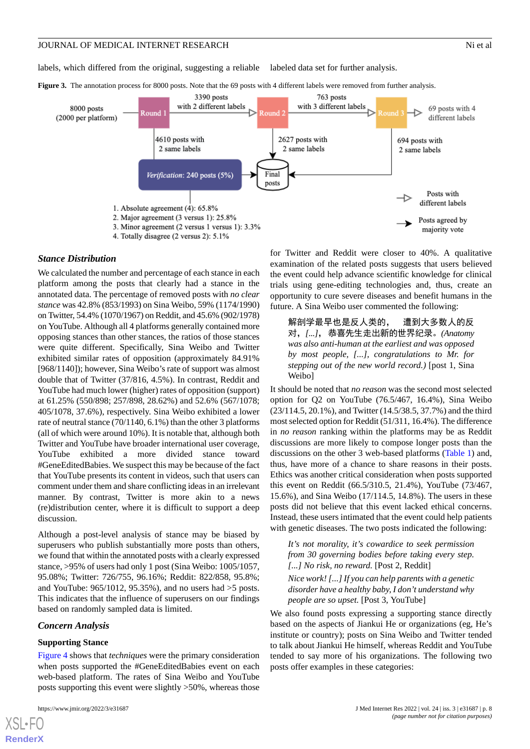labels, which differed from the original, suggesting a reliable labeled data set for further analysis.

<span id="page-7-0"></span>**Figure 3.** The annotation process for 8000 posts. Note that the 69 posts with 4 different labels were removed from further analysis.



#### *Stance Distribution*

We calculated the number and percentage of each stance in each platform among the posts that clearly had a stance in the annotated data. The percentage of removed posts with *no clear stance* was 42.8% (853/1993) on Sina Weibo, 59% (1174/1990) on Twitter, 54.4% (1070/1967) on Reddit, and 45.6% (902/1978) on YouTube. Although all 4 platforms generally contained more opposing stances than other stances, the ratios of those stances were quite different. Specifically, Sina Weibo and Twitter exhibited similar rates of opposition (approximately 84.91% [968/1140]); however, Sina Weibo's rate of support was almost double that of Twitter (37/816, 4.5%). In contrast, Reddit and YouTube had much lower (higher) rates of opposition (support) at 61.25% (550/898; 257/898, 28.62%) and 52.6% (567/1078; 405/1078, 37.6%), respectively. Sina Weibo exhibited a lower rate of neutral stance (70/1140, 6.1%) than the other 3 platforms (all of which were around 10%). It is notable that, although both Twitter and YouTube have broader international user coverage, YouTube exhibited a more divided stance toward #GeneEditedBabies. We suspect this may be because of the fact that YouTube presents its content in videos, such that users can comment under them and share conflicting ideas in an irrelevant manner. By contrast, Twitter is more akin to a news (re)distribution center, where it is difficult to support a deep discussion.

Although a post-level analysis of stance may be biased by superusers who publish substantially more posts than others, we found that within the annotated posts with a clearly expressed stance, >95% of users had only 1 post (Sina Weibo: 1005/1057, 95.08%; Twitter: 726/755, 96.16%; Reddit: 822/858, 95.8%; and YouTube: 965/1012, 95.35%), and no users had >5 posts. This indicates that the influence of superusers on our findings based on randomly sampled data is limited.

#### *Concern Analysis*

#### **Supporting Stance**

[Figure 4](#page-8-0) shows that *techniques* were the primary consideration when posts supported the #GeneEditedBabies event on each web-based platform. The rates of Sina Weibo and YouTube posts supporting this event were slightly >50%, whereas those

for Twitter and Reddit were closer to 40%. A qualitative examination of the related posts suggests that users believed the event could help advance scientific knowledge for clinical trials using gene-editing technologies and, thus, create an opportunity to cure severe diseases and benefit humans in the future. A Sina Weibo user commented the following:

解剖学最早也是反人类的, 遭到大多数人的反 对,*[...]*,恭喜先生走出新的世界纪录。*(Anatomy was also anti-human at the earliest and was opposed by most people, [...], congratulations to Mr. for stepping out of the new world record.)* [post 1, Sina Weibo]

It should be noted that *no reason* was the second most selected option for Q2 on YouTube (76.5/467, 16.4%), Sina Weibo (23/114.5, 20.1%), and Twitter (14.5/38.5, 37.7%) and the third most selected option for Reddit (51/311, 16.4%). The difference in *no reason* ranking within the platforms may be as Reddit discussions are more likely to compose longer posts than the discussions on the other 3 web-based platforms [\(Table 1\)](#page-3-0) and, thus, have more of a chance to share reasons in their posts. Ethics was another critical consideration when posts supported this event on Reddit (66.5/310.5, 21.4%), YouTube (73/467, 15.6%), and Sina Weibo (17/114.5, 14.8%). The users in these posts did not believe that this event lacked ethical concerns. Instead, these users intimated that the event could help patients with genetic diseases. The two posts indicated the following:

*It's not morality, it's cowardice to seek permission from 30 governing bodies before taking every step. [...] No risk, no reward.* [Post 2, Reddit]

*Nice work! [...] If you can help parents with a genetic disorder have a healthy baby, I don't understand why people are so upset.* [Post 3, YouTube]

We also found posts expressing a supporting stance directly based on the aspects of Jiankui He or organizations (eg, He's institute or country); posts on Sina Weibo and Twitter tended to talk about Jiankui He himself, whereas Reddit and YouTube tended to say more of his organizations. The following two posts offer examples in these categories:

```
XSL•FO
RenderX
```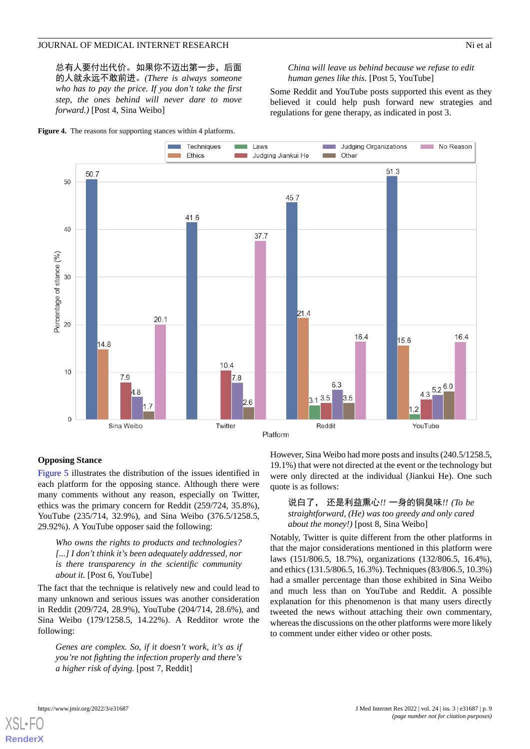总有人要付出代价。如果你不迈出第一步,后面 的人就永远不敢前进。*(There is always someone who has to pay the price. If you don't take the first step, the ones behind will never dare to move forward.)* [Post 4, Sina Weibo]

<span id="page-8-0"></span>**Figure 4.** The reasons for supporting stances within 4 platforms.

#### *China will leave us behind because we refuse to edit human genes like this.* [Post 5, YouTube]

Some Reddit and YouTube posts supported this event as they believed it could help push forward new strategies and regulations for gene therapy, as indicated in post 3.



#### **Opposing Stance**

[Figure 5](#page-9-0) illustrates the distribution of the issues identified in each platform for the opposing stance. Although there were many comments without any reason, especially on Twitter, ethics was the primary concern for Reddit (259/724, 35.8%), YouTube (235/714, 32.9%), and Sina Weibo (376.5/1258.5, 29.92%). A YouTube opposer said the following:

*Who owns the rights to products and technologies? [...] I don't think it's been adequately addressed, nor is there transparency in the scientific community about it.* [Post 6, YouTube]

The fact that the technique is relatively new and could lead to many unknown and serious issues was another consideration in Reddit (209/724, 28.9%), YouTube (204/714, 28.6%), and Sina Weibo (179/1258.5, 14.22%). A Redditor wrote the following:

*Genes are complex. So, if it doesn't work, it's as if you're not fighting the infection properly and there's a higher risk of dying.* [post 7, Reddit]

However, Sina Weibo had more posts and insults (240.5/1258.5, 19.1%) that were not directed at the event or the technology but were only directed at the individual (Jiankui He). One such quote is as follows:

#### 说白了, 还是利益熏心*!!* 一身的铜臭味*!! (To be straightforward, (He) was too greedy and only cared about the money!)* [post 8, Sina Weibo]

Notably, Twitter is quite different from the other platforms in that the major considerations mentioned in this platform were laws (151/806.5, 18.7%), organizations (132/806.5, 16.4%), and ethics (131.5/806.5, 16.3%). Techniques (83/806.5, 10.3%) had a smaller percentage than those exhibited in Sina Weibo and much less than on YouTube and Reddit. A possible explanation for this phenomenon is that many users directly tweeted the news without attaching their own commentary, whereas the discussions on the other platforms were more likely to comment under either video or other posts.



**[RenderX](http://www.renderx.com/)**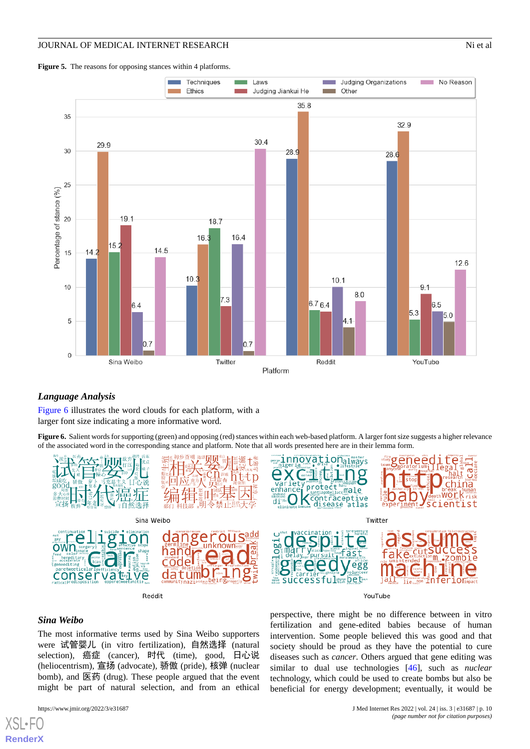<span id="page-9-0"></span>



#### <span id="page-9-1"></span>*Language Analysis*

[Figure 6](#page-9-1) illustrates the word clouds for each platform, with a larger font size indicating a more informative word.

**Figure 6.** Salient words for supporting (green) and opposing (red) stances within each web-based platform. A larger font size suggests a higher relevance of the associated word in the corresponding stance and platform. Note that all words presented here are in their lemma form.



Reddit



YouTube

#### *Sina Weibo*

[XSL](http://www.w3.org/Style/XSL)•FO **[RenderX](http://www.renderx.com/)**

The most informative terms used by Sina Weibo supporters were 试管婴儿 (in vitro fertilization)*,* 自然选择 (natural selection)*,* 癌症 (cancer)*,* 时代 (time), good*,* 日心说 (heliocentrism)*,* 宣扬 (advocate)*,* 骄傲 (pride)*,* 核弹 (nuclear bomb)*,* and 医药 (drug). These people argued that the event might be part of natural selection, and from an ethical

perspective, there might be no difference between in vitro fertilization and gene-edited babies because of human intervention. Some people believed this was good and that society should be proud as they have the potential to cure diseases such as *cancer*. Others argued that gene editing was similar to dual use technologies [[46\]](#page-14-5), such as *nuclear* technology, which could be used to create bombs but also be beneficial for energy development; eventually, it would be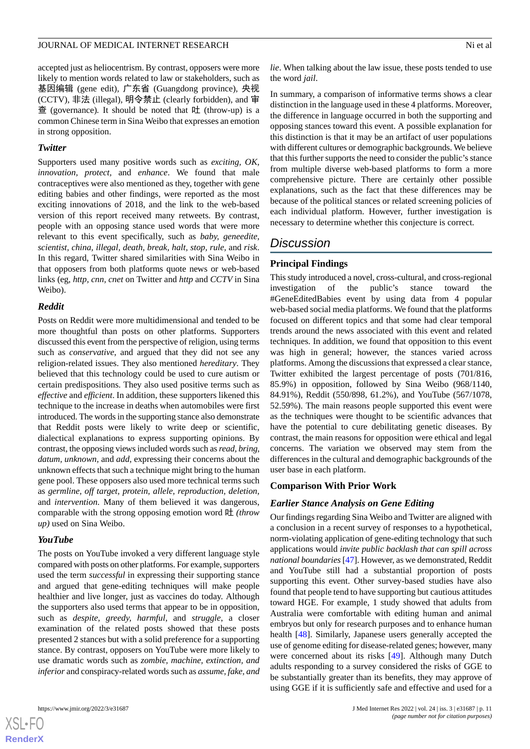accepted just as heliocentrism. By contrast, opposers were more likely to mention words related to law or stakeholders, such as 基因编辑 (gene edit)*,* 广东省 (Guangdong province)*,* 央视 (CCTV)*,* 非法 (illegal)*,* 明令禁止 (clearly forbidden)*,* and 审 查 (governance)*.* It should be noted that 吐 (throw-up) is a common Chinese term in Sina Weibo that expresses an emotion in strong opposition.

#### *Twitter*

Supporters used many positive words such as *exciting, OK, innovation, protect,* and *enhance*. We found that male contraceptives were also mentioned as they, together with gene editing babies and other findings, were reported as the most exciting innovations of 2018, and the link to the web-based version of this report received many retweets. By contrast, people with an opposing stance used words that were more relevant to this event specifically, such as *baby, geneedite, scientist, china, illegal, death, break, halt, stop, rule,* and *risk*. In this regard, Twitter shared similarities with Sina Weibo in that opposers from both platforms quote news or web-based links (eg, *http, cnn, cnet* on Twitter and *http* and *CCTV* in Sina Weibo).

#### *Reddit*

Posts on Reddit were more multidimensional and tended to be more thoughtful than posts on other platforms. Supporters discussed this event from the perspective of religion, using terms such as *conservative*, and argued that they did not see any religion-related issues. They also mentioned *hereditary*. They believed that this technology could be used to cure autism or certain predispositions. They also used positive terms such as *effective* and *efficient*. In addition, these supporters likened this technique to the increase in deaths when automobiles were first introduced. The words in the supporting stance also demonstrate that Reddit posts were likely to write deep or scientific, dialectical explanations to express supporting opinions. By contrast, the opposing views included words such as *read, bring, datum, unknown,* and *add*, expressing their concerns about the unknown effects that such a technique might bring to the human gene pool. These opposers also used more technical terms such as *germline, off target, protein, allele, reproduction, deletion,* and *intervention*. Many of them believed it was dangerous, comparable with the strong opposing emotion word 吐 *(throw up)* used on Sina Weibo.

### *YouTube*

The posts on YouTube invoked a very different language style compared with posts on other platforms. For example, supporters used the term *successful* in expressing their supporting stance and argued that gene-editing techniques will make people healthier and live longer, just as vaccines do today. Although the supporters also used terms that appear to be in opposition, such as *despite, greedy, harmful,* and *struggle*, a closer examination of the related posts showed that these posts presented 2 stances but with a solid preference for a supporting stance. By contrast, opposers on YouTube were more likely to use dramatic words such as *zombie, machine, extinction, and inferior* and conspiracy-related words such as *assume, fake, and*

 $XS$  $\cdot$ FC **[RenderX](http://www.renderx.com/)** *lie*. When talking about the law issue, these posts tended to use the word *jail*.

In summary, a comparison of informative terms shows a clear distinction in the language used in these 4 platforms. Moreover, the difference in language occurred in both the supporting and opposing stances toward this event. A possible explanation for this distinction is that it may be an artifact of user populations with different cultures or demographic backgrounds. We believe that this further supports the need to consider the public's stance from multiple diverse web-based platforms to form a more comprehensive picture. There are certainly other possible explanations, such as the fact that these differences may be because of the political stances or related screening policies of each individual platform. However, further investigation is necessary to determine whether this conjecture is correct.

# *Discussion*

### **Principal Findings**

This study introduced a novel, cross-cultural, and cross-regional investigation of the public's stance toward the #GeneEditedBabies event by using data from 4 popular web-based social media platforms. We found that the platforms focused on different topics and that some had clear temporal trends around the news associated with this event and related techniques. In addition, we found that opposition to this event was high in general; however, the stances varied across platforms. Among the discussions that expressed a clear stance, Twitter exhibited the largest percentage of posts (701/816, 85.9%) in opposition, followed by Sina Weibo (968/1140, 84.91%), Reddit (550/898, 61.2%), and YouTube (567/1078, 52.59%). The main reasons people supported this event were as the techniques were thought to be scientific advances that have the potential to cure debilitating genetic diseases. By contrast, the main reasons for opposition were ethical and legal concerns. The variation we observed may stem from the differences in the cultural and demographic backgrounds of the user base in each platform.

#### **Comparison With Prior Work**

#### *Earlier Stance Analysis on Gene Editing*

Our findings regarding Sina Weibo and Twitter are aligned with a conclusion in a recent survey of responses to a hypothetical, norm-violating application of gene-editing technology that such applications would *invite public backlash that can spill across national boundaries*[\[47\]](#page-14-6). However, as we demonstrated, Reddit and YouTube still had a substantial proportion of posts supporting this event. Other survey-based studies have also found that people tend to have supporting but cautious attitudes toward HGE. For example, 1 study showed that adults from Australia were comfortable with editing human and animal embryos but only for research purposes and to enhance human health [\[48](#page-14-7)]. Similarly, Japanese users generally accepted the use of genome editing for disease-related genes; however, many were concerned about its risks [[49\]](#page-14-8). Although many Dutch adults responding to a survey considered the risks of GGE to be substantially greater than its benefits, they may approve of using GGE if it is sufficiently safe and effective and used for a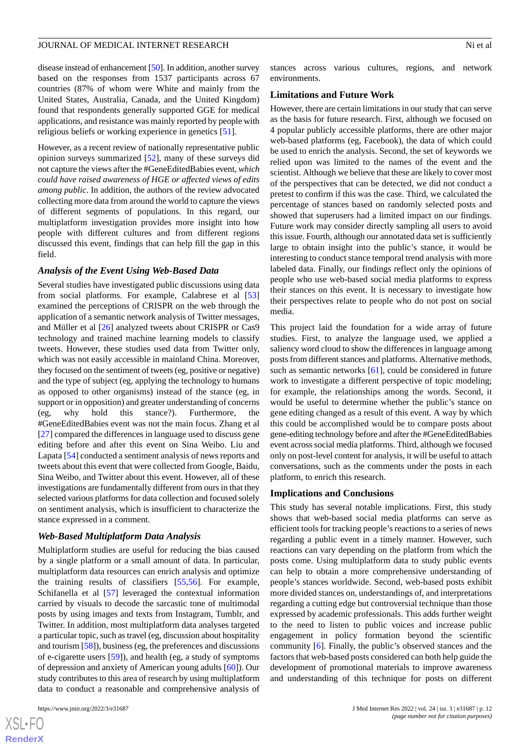disease instead of enhancement [\[50\]](#page-14-9). In addition, another survey based on the responses from 1537 participants across 67 countries (87% of whom were White and mainly from the United States, Australia, Canada, and the United Kingdom) found that respondents generally supported GGE for medical applications, and resistance was mainly reported by people with religious beliefs or working experience in genetics [\[51](#page-14-10)].

However, as a recent review of nationally representative public opinion surveys summarized [\[52](#page-14-11)], many of these surveys did not capture the views after the #GeneEditedBabies event, *which could have raised awareness of HGE or affected views of edits among public*. In addition, the authors of the review advocated collecting more data from around the world to capture the views of different segments of populations. In this regard, our multiplatform investigation provides more insight into how people with different cultures and from different regions discussed this event, findings that can help fill the gap in this field.

#### *Analysis of the Event Using Web-Based Data*

Several studies have investigated public discussions using data from social platforms. For example, Calabrese et al [\[53](#page-14-12)] examined the perceptions of CRISPR on the web through the application of a semantic network analysis of Twitter messages, and Müller et al [\[26](#page-13-8)] analyzed tweets about CRISPR or Cas9 technology and trained machine learning models to classify tweets. However, these studies used data from Twitter only, which was not easily accessible in mainland China. Moreover, they focused on the sentiment of tweets (eg, positive or negative) and the type of subject (eg, applying the technology to humans as opposed to other organisms) instead of the stance (eg, in support or in opposition) and greater understanding of concerns (eg, why hold this stance?). Furthermore, the #GeneEditedBabies event was not the main focus. Zhang et al [[27\]](#page-13-9) compared the differences in language used to discuss gene editing before and after this event on Sina Weibo. Liu and Lapata [\[54](#page-14-13)] conducted a sentiment analysis of news reports and tweets about this event that were collected from Google, Baidu, Sina Weibo, and Twitter about this event. However, all of these investigations are fundamentally different from ours in that they selected various platforms for data collection and focused solely on sentiment analysis, which is insufficient to characterize the stance expressed in a comment.

#### *Web-Based Multiplatform Data Analysis*

Multiplatform studies are useful for reducing the bias caused by a single platform or a small amount of data. In particular, multiplatform data resources can enrich analysis and optimize the training results of classifiers [\[55](#page-14-14),[56\]](#page-14-15). For example, Schifanella et al [[57\]](#page-14-16) leveraged the contextual information carried by visuals to decode the sarcastic tone of multimodal posts by using images and texts from Instagram, Tumblr, and Twitter. In addition, most multiplatform data analyses targeted a particular topic, such as travel (eg, discussion about hospitality and tourism [[58](#page-14-17)]), business (eg, the preferences and discussions of e-cigarette users [[59\]](#page-14-18)), and health (eg, a study of symptoms of depression and anxiety of American young adults [[60\]](#page-14-19)). Our study contributes to this area of research by using multiplatform data to conduct a reasonable and comprehensive analysis of

 $XS$  $\cdot$ FC **[RenderX](http://www.renderx.com/)** stances across various cultures, regions, and network environments.

#### **Limitations and Future Work**

However, there are certain limitations in our study that can serve as the basis for future research. First, although we focused on 4 popular publicly accessible platforms, there are other major web-based platforms (eg, Facebook), the data of which could be used to enrich the analysis. Second, the set of keywords we relied upon was limited to the names of the event and the scientist. Although we believe that these are likely to cover most of the perspectives that can be detected, we did not conduct a pretest to confirm if this was the case. Third, we calculated the percentage of stances based on randomly selected posts and showed that superusers had a limited impact on our findings. Future work may consider directly sampling all users to avoid this issue. Fourth, although our annotated data set is sufficiently large to obtain insight into the public's stance, it would be interesting to conduct stance temporal trend analysis with more labeled data. Finally, our findings reflect only the opinions of people who use web-based social media platforms to express their stances on this event. It is necessary to investigate how their perspectives relate to people who do not post on social media.

This project laid the foundation for a wide array of future studies. First, to analyze the language used, we applied a saliency word cloud to show the differences in language among posts from different stances and platforms. Alternative methods, such as semantic networks [[61\]](#page-14-20), could be considered in future work to investigate a different perspective of topic modeling; for example, the relationships among the words. Second, it would be useful to determine whether the public's stance on gene editing changed as a result of this event. A way by which this could be accomplished would be to compare posts about gene-editing technology before and after the #GeneEditedBabies event across social media platforms. Third, although we focused only on post-level content for analysis, it will be useful to attach conversations, such as the comments under the posts in each platform, to enrich this research.

#### **Implications and Conclusions**

This study has several notable implications. First, this study shows that web-based social media platforms can serve as efficient tools for tracking people's reactions to a series of news regarding a public event in a timely manner. However, such reactions can vary depending on the platform from which the posts come. Using multiplatform data to study public events can help to obtain a more comprehensive understanding of people's stances worldwide. Second, web-based posts exhibit more divided stances on, understandings of, and interpretations regarding a cutting edge but controversial technique than those expressed by academic professionals. This adds further weight to the need to listen to public voices and increase public engagement in policy formation beyond the scientific community [[6](#page-12-4)]. Finally, the public's observed stances and the factors that web-based posts considered can both help guide the development of promotional materials to improve awareness and understanding of this technique for posts on different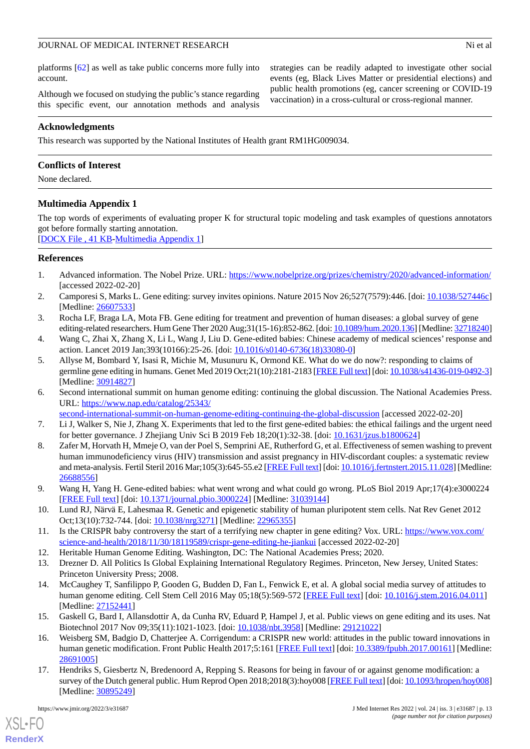platforms [[62\]](#page-14-21) as well as take public concerns more fully into account.

Although we focused on studying the public's stance regarding this specific event, our annotation methods and analysis strategies can be readily adapted to investigate other social events (eg, Black Lives Matter or presidential elections) and public health promotions (eg, cancer screening or COVID-19 vaccination) in a cross-cultural or cross-regional manner.

#### **Acknowledgments**

This research was supported by the National Institutes of Health grant RM1HG009034.

#### **Conflicts of Interest**

<span id="page-12-14"></span>None declared.

#### **Multimedia Appendix 1**

The top words of experiments of evaluating proper K for structural topic modeling and task examples of questions annotators got before formally starting annotation.

<span id="page-12-0"></span>[[DOCX File , 41 KB](https://jmir.org/api/download?alt_name=jmir_v24i3e31687_app1.docx&filename=b329af13e54281bb2951afb226431951.docx)-[Multimedia Appendix 1\]](https://jmir.org/api/download?alt_name=jmir_v24i3e31687_app1.docx&filename=b329af13e54281bb2951afb226431951.docx)

#### <span id="page-12-1"></span>**References**

- <span id="page-12-2"></span>1. Advanced information. The Nobel Prize. URL:<https://www.nobelprize.org/prizes/chemistry/2020/advanced-information/> [accessed 2022-02-20]
- <span id="page-12-3"></span>2. Camporesi S, Marks L. Gene editing: survey invites opinions. Nature 2015 Nov 26;527(7579):446. [doi: [10.1038/527446c](http://dx.doi.org/10.1038/527446c)] [Medline: [26607533](http://www.ncbi.nlm.nih.gov/entrez/query.fcgi?cmd=Retrieve&db=PubMed&list_uids=26607533&dopt=Abstract)]
- 3. Rocha LF, Braga LA, Mota FB. Gene editing for treatment and prevention of human diseases: a global survey of gene editing-related researchers. Hum Gene Ther 2020 Aug;31(15-16):852-862. [doi: [10.1089/hum.2020.136\]](http://dx.doi.org/10.1089/hum.2020.136) [Medline: [32718240\]](http://www.ncbi.nlm.nih.gov/entrez/query.fcgi?cmd=Retrieve&db=PubMed&list_uids=32718240&dopt=Abstract)
- 4. Wang C, Zhai X, Zhang X, Li L, Wang J, Liu D. Gene-edited babies: Chinese academy of medical sciences' response and action. Lancet 2019 Jan;393(10166):25-26. [doi: [10.1016/s0140-6736\(18\)33080-0\]](http://dx.doi.org/10.1016/s0140-6736(18)33080-0)
- <span id="page-12-4"></span>5. Allyse M, Bombard Y, Isasi R, Michie M, Musunuru K, Ormond KE. What do we do now?: responding to claims of germline gene editing in humans. Genet Med 2019 Oct;21(10):2181-2183 [\[FREE Full text](https://linkinghub.elsevier.com/retrieve/pii/S1098-3600(21)04495-6)] [doi: [10.1038/s41436-019-0492-3\]](http://dx.doi.org/10.1038/s41436-019-0492-3) [Medline: [30914827](http://www.ncbi.nlm.nih.gov/entrez/query.fcgi?cmd=Retrieve&db=PubMed&list_uids=30914827&dopt=Abstract)]
- <span id="page-12-6"></span><span id="page-12-5"></span>6. Second international summit on human genome editing: continuing the global discussion. The National Academies Press. URL: [https://www.nap.edu/catalog/25343/](https://www.nap.edu/catalog/25343/second-international-summit-on-human-genome-editing-continuing-the-global-discussion)
	- [second-international-summit-on-human-genome-editing-continuing-the-global-discussion](https://www.nap.edu/catalog/25343/second-international-summit-on-human-genome-editing-continuing-the-global-discussion) [accessed 2022-02-20]
- 7. Li J, Walker S, Nie J, Zhang X. Experiments that led to the first gene-edited babies: the ethical failings and the urgent need for better governance. J Zhejiang Univ Sci B 2019 Feb 18;20(1):32-38. [doi: [10.1631/jzus.b1800624\]](http://dx.doi.org/10.1631/jzus.b1800624)
- <span id="page-12-8"></span><span id="page-12-7"></span>8. Zafer M, Horvath H, Mmeje O, van der Poel S, Semprini AE, Rutherford G, et al. Effectiveness of semen washing to prevent human immunodeficiency virus (HIV) transmission and assist pregnancy in HIV-discordant couples: a systematic review and meta-analysis. Fertil Steril 2016 Mar;105(3):645-55.e2 [\[FREE Full text\]](https://linkinghub.elsevier.com/retrieve/pii/S0015-0282(15)02112-3) [doi: [10.1016/j.fertnstert.2015.11.028](http://dx.doi.org/10.1016/j.fertnstert.2015.11.028)] [Medline: [26688556](http://www.ncbi.nlm.nih.gov/entrez/query.fcgi?cmd=Retrieve&db=PubMed&list_uids=26688556&dopt=Abstract)]
- <span id="page-12-10"></span><span id="page-12-9"></span>9. Wang H, Yang H. Gene-edited babies: what went wrong and what could go wrong. PLoS Biol 2019 Apr;17(4):e3000224 [[FREE Full text](https://dx.plos.org/10.1371/journal.pbio.3000224)] [doi: [10.1371/journal.pbio.3000224\]](http://dx.doi.org/10.1371/journal.pbio.3000224) [Medline: [31039144\]](http://www.ncbi.nlm.nih.gov/entrez/query.fcgi?cmd=Retrieve&db=PubMed&list_uids=31039144&dopt=Abstract)
- <span id="page-12-11"></span>10. Lund RJ, Närvä E, Lahesmaa R. Genetic and epigenetic stability of human pluripotent stem cells. Nat Rev Genet 2012 Oct;13(10):732-744. [doi: [10.1038/nrg3271](http://dx.doi.org/10.1038/nrg3271)] [Medline: [22965355](http://www.ncbi.nlm.nih.gov/entrez/query.fcgi?cmd=Retrieve&db=PubMed&list_uids=22965355&dopt=Abstract)]
- <span id="page-12-12"></span>11. Is the CRISPR baby controversy the start of a terrifying new chapter in gene editing? Vox. URL: [https://www.vox.com/](https://www.vox.com/science-and-health/2018/11/30/18119589/crispr-gene-editing-he-jiankui) [science-and-health/2018/11/30/18119589/crispr-gene-editing-he-jiankui](https://www.vox.com/science-and-health/2018/11/30/18119589/crispr-gene-editing-he-jiankui) [accessed 2022-02-20]
- <span id="page-12-13"></span>12. Heritable Human Genome Editing. Washington, DC: The National Academies Press; 2020.
- 13. Drezner D. All Politics Is Global Explaining International Regulatory Regimes. Princeton, New Jersey, United States: Princeton University Press; 2008.
- 14. McCaughey T, Sanfilippo P, Gooden G, Budden D, Fan L, Fenwick E, et al. A global social media survey of attitudes to human genome editing. Cell Stem Cell 2016 May 05;18(5):569-572 [\[FREE Full text\]](https://linkinghub.elsevier.com/retrieve/pii/S1934-5909(16)30054-6) [doi: [10.1016/j.stem.2016.04.011\]](http://dx.doi.org/10.1016/j.stem.2016.04.011) [Medline: [27152441](http://www.ncbi.nlm.nih.gov/entrez/query.fcgi?cmd=Retrieve&db=PubMed&list_uids=27152441&dopt=Abstract)]
- 15. Gaskell G, Bard I, Allansdottir A, da Cunha RV, Eduard P, Hampel J, et al. Public views on gene editing and its uses. Nat Biotechnol 2017 Nov 09;35(11):1021-1023. [doi: [10.1038/nbt.3958\]](http://dx.doi.org/10.1038/nbt.3958) [Medline: [29121022](http://www.ncbi.nlm.nih.gov/entrez/query.fcgi?cmd=Retrieve&db=PubMed&list_uids=29121022&dopt=Abstract)]
- 16. Weisberg SM, Badgio D, Chatterjee A. Corrigendum: a CRISPR new world: attitudes in the public toward innovations in human genetic modification. Front Public Health 2017;5:161 [\[FREE Full text\]](https://doi.org/10.3389/fpubh.2017.00161) [doi: [10.3389/fpubh.2017.00161\]](http://dx.doi.org/10.3389/fpubh.2017.00161) [Medline: [28691005](http://www.ncbi.nlm.nih.gov/entrez/query.fcgi?cmd=Retrieve&db=PubMed&list_uids=28691005&dopt=Abstract)]
- 17. Hendriks S, Giesbertz N, Bredenoord A, Repping S. Reasons for being in favour of or against genome modification: a survey of the Dutch general public. Hum Reprod Open 2018;2018(3):hoy008 [\[FREE Full text\]](http://europepmc.org/abstract/MED/30895249) [doi: [10.1093/hropen/hoy008\]](http://dx.doi.org/10.1093/hropen/hoy008) [Medline: [30895249](http://www.ncbi.nlm.nih.gov/entrez/query.fcgi?cmd=Retrieve&db=PubMed&list_uids=30895249&dopt=Abstract)]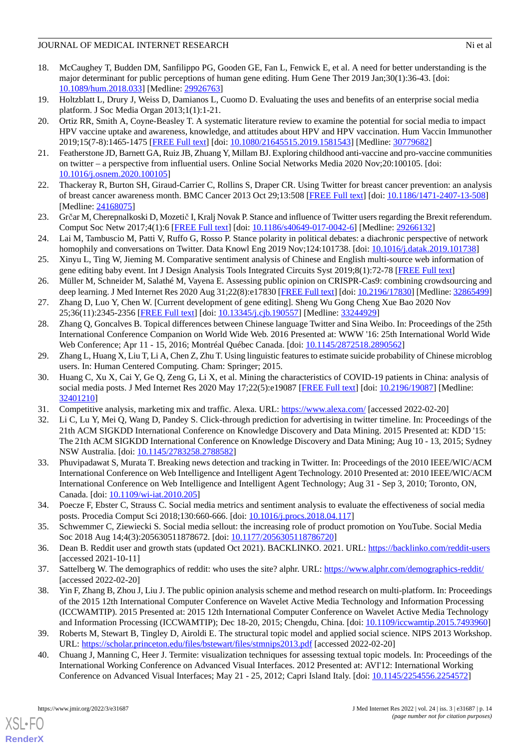- <span id="page-13-0"></span>18. McCaughey T, Budden DM, Sanfilippo PG, Gooden GE, Fan L, Fenwick E, et al. A need for better understanding is the major determinant for public perceptions of human gene editing. Hum Gene Ther 2019 Jan;30(1):36-43. [doi: [10.1089/hum.2018.033\]](http://dx.doi.org/10.1089/hum.2018.033) [Medline: [29926763](http://www.ncbi.nlm.nih.gov/entrez/query.fcgi?cmd=Retrieve&db=PubMed&list_uids=29926763&dopt=Abstract)]
- <span id="page-13-2"></span><span id="page-13-1"></span>19. Holtzblatt L, Drury J, Weiss D, Damianos L, Cuomo D. Evaluating the uses and benefits of an enterprise social media platform. J Soc Media Organ 2013;1(1):1-21.
- 20. Ortiz RR, Smith A, Coyne-Beasley T. A systematic literature review to examine the potential for social media to impact HPV vaccine uptake and awareness, knowledge, and attitudes about HPV and HPV vaccination. Hum Vaccin Immunother 2019;15(7-8):1465-1475 [\[FREE Full text\]](http://europepmc.org/abstract/MED/30779682) [doi: [10.1080/21645515.2019.1581543](http://dx.doi.org/10.1080/21645515.2019.1581543)] [Medline: [30779682\]](http://www.ncbi.nlm.nih.gov/entrez/query.fcgi?cmd=Retrieve&db=PubMed&list_uids=30779682&dopt=Abstract)
- <span id="page-13-4"></span><span id="page-13-3"></span>21. Featherstone JD, Barnett GA, Ruiz JB, Zhuang Y, Millam BJ. Exploring childhood anti-vaccine and pro-vaccine communities on twitter – a perspective from influential users. Online Social Networks Media 2020 Nov;20:100105. [doi: [10.1016/j.osnem.2020.100105](http://dx.doi.org/10.1016/j.osnem.2020.100105)]
- <span id="page-13-5"></span>22. Thackeray R, Burton SH, Giraud-Carrier C, Rollins S, Draper CR. Using Twitter for breast cancer prevention: an analysis of breast cancer awareness month. BMC Cancer 2013 Oct 29;13:508 [[FREE Full text](https://bmccancer.biomedcentral.com/articles/10.1186/1471-2407-13-508)] [doi: [10.1186/1471-2407-13-508\]](http://dx.doi.org/10.1186/1471-2407-13-508) [Medline: [24168075](http://www.ncbi.nlm.nih.gov/entrez/query.fcgi?cmd=Retrieve&db=PubMed&list_uids=24168075&dopt=Abstract)]
- <span id="page-13-6"></span>23. Grčar M, Cherepnalkoski D, Mozetič I, Kralj Novak P. Stance and influence of Twitter users regarding the Brexit referendum. Comput Soc Netw 2017;4(1):6 [[FREE Full text](http://europepmc.org/abstract/MED/29266132)] [doi: [10.1186/s40649-017-0042-6\]](http://dx.doi.org/10.1186/s40649-017-0042-6) [Medline: [29266132\]](http://www.ncbi.nlm.nih.gov/entrez/query.fcgi?cmd=Retrieve&db=PubMed&list_uids=29266132&dopt=Abstract)
- <span id="page-13-7"></span>24. Lai M, Tambuscio M, Patti V, Ruffo G, Rosso P. Stance polarity in political debates: a diachronic perspective of network homophily and conversations on Twitter. Data Knowl Eng 2019 Nov;124:101738. [doi: [10.1016/j.datak.2019.101738](http://dx.doi.org/10.1016/j.datak.2019.101738)]
- <span id="page-13-8"></span>25. Xinyu L, Ting W, Jieming M. Comparative sentiment analysis of Chinese and English multi-source web information of gene editing baby event. Int J Design Analysis Tools Integrated Circuits Syst 2019;8(1):72-78 [\[FREE Full text\]](https://www.proquest.com/openview/c0e65b17f1fe4e7ad4f9112289b16cbf/1?pq-origsite=gscholar&cbl=1316335)
- <span id="page-13-10"></span><span id="page-13-9"></span>26. Müller M, Schneider M, Salathé M, Vayena E. Assessing public opinion on CRISPR-Cas9: combining crowdsourcing and deep learning. J Med Internet Res 2020 Aug 31;22(8):e17830 [[FREE Full text\]](https://www.jmir.org/2020/8/e17830/) [doi: [10.2196/17830](http://dx.doi.org/10.2196/17830)] [Medline: [32865499](http://www.ncbi.nlm.nih.gov/entrez/query.fcgi?cmd=Retrieve&db=PubMed&list_uids=32865499&dopt=Abstract)]
- 27. Zhang D, Luo Y, Chen W. [Current development of gene editing]. Sheng Wu Gong Cheng Xue Bao 2020 Nov 25;36(11):2345-2356 [[FREE Full text](https://doi.org/10.13345/j.cjb.190557)] [doi: [10.13345/j.cjb.190557](http://dx.doi.org/10.13345/j.cjb.190557)] [Medline: [33244929](http://www.ncbi.nlm.nih.gov/entrez/query.fcgi?cmd=Retrieve&db=PubMed&list_uids=33244929&dopt=Abstract)]
- <span id="page-13-11"></span>28. Zhang Q, Goncalves B. Topical differences between Chinese language Twitter and Sina Weibo. In: Proceedings of the 25th International Conference Companion on World Wide Web. 2016 Presented at: WWW '16: 25th International World Wide Web Conference; Apr 11 - 15, 2016; Montréal Québec Canada. [doi: [10.1145/2872518.2890562\]](http://dx.doi.org/10.1145/2872518.2890562)
- <span id="page-13-12"></span>29. Zhang L, Huang X, Liu T, Li A, Chen Z, Zhu T. Using linguistic features to estimate suicide probability of Chinese microblog users. In: Human Centered Computing. Cham: Springer; 2015.
- <span id="page-13-14"></span><span id="page-13-13"></span>30. Huang C, Xu X, Cai Y, Ge Q, Zeng G, Li X, et al. Mining the characteristics of COVID-19 patients in China: analysis of social media posts. J Med Internet Res 2020 May 17;22(5):e19087 [[FREE Full text](https://www.jmir.org/2020/5/e19087/)] [doi: [10.2196/19087\]](http://dx.doi.org/10.2196/19087) [Medline: [32401210](http://www.ncbi.nlm.nih.gov/entrez/query.fcgi?cmd=Retrieve&db=PubMed&list_uids=32401210&dopt=Abstract)]
- 31. Competitive analysis, marketing mix and traffic. Alexa. URL:<https://www.alexa.com/> [accessed 2022-02-20]
- <span id="page-13-15"></span>32. Li C, Lu Y, Mei Q, Wang D, Pandey S. Click-through prediction for advertising in twitter timeline. In: Proceedings of the 21th ACM SIGKDD International Conference on Knowledge Discovery and Data Mining. 2015 Presented at: KDD '15: The 21th ACM SIGKDD International Conference on Knowledge Discovery and Data Mining; Aug 10 - 13, 2015; Sydney NSW Australia. [doi: [10.1145/2783258.2788582](http://dx.doi.org/10.1145/2783258.2788582)]
- <span id="page-13-17"></span><span id="page-13-16"></span>33. Phuvipadawat S, Murata T. Breaking news detection and tracking in Twitter. In: Proceedings of the 2010 IEEE/WIC/ACM International Conference on Web Intelligence and Intelligent Agent Technology. 2010 Presented at: 2010 IEEE/WIC/ACM International Conference on Web Intelligence and Intelligent Agent Technology; Aug 31 - Sep 3, 2010; Toronto, ON, Canada. [doi: [10.1109/wi-iat.2010.205\]](http://dx.doi.org/10.1109/wi-iat.2010.205)
- <span id="page-13-19"></span><span id="page-13-18"></span>34. Poecze F, Ebster C, Strauss C. Social media metrics and sentiment analysis to evaluate the effectiveness of social media posts. Procedia Comput Sci 2018;130:660-666. [doi: [10.1016/j.procs.2018.04.117\]](http://dx.doi.org/10.1016/j.procs.2018.04.117)
- <span id="page-13-20"></span>35. Schwemmer C, Ziewiecki S. Social media sellout: the increasing role of product promotion on YouTube. Social Media Soc 2018 Aug 14;4(3):205630511878672. [doi: [10.1177/2056305118786720](http://dx.doi.org/10.1177/2056305118786720)]
- 36. Dean B. Reddit user and growth stats (updated Oct 2021). BACKLINKO. 2021. URL: <https://backlinko.com/reddit-users> [accessed 2021-10-11]
- <span id="page-13-21"></span>37. Sattelberg W. The demographics of reddit: who uses the site? alphr. URL:<https://www.alphr.com/demographics-reddit/> [accessed 2022-02-20]
- <span id="page-13-22"></span>38. Yin F, Zhang B, Zhou J, Liu J. The public opinion analysis scheme and method research on multi-platform. In: Proceedings of the 2015 12th International Computer Conference on Wavelet Active Media Technology and Information Processing (ICCWAMTIP). 2015 Presented at: 2015 12th International Computer Conference on Wavelet Active Media Technology and Information Processing (ICCWAMTIP); Dec 18-20, 2015; Chengdu, China. [doi: [10.1109/iccwamtip.2015.7493960\]](http://dx.doi.org/10.1109/iccwamtip.2015.7493960)
- 39. Roberts M, Stewart B, Tingley D, Airoldi E. The structural topic model and applied social science. NIPS 2013 Workshop. URL: <https://scholar.princeton.edu/files/bstewart/files/stmnips2013.pdf> [accessed 2022-02-20]
- 40. Chuang J, Manning C, Heer J. Termite: visualization techniques for assessing textual topic models. In: Proceedings of the International Working Conference on Advanced Visual Interfaces. 2012 Presented at: AVI'12: International Working Conference on Advanced Visual Interfaces; May 21 - 25, 2012; Capri Island Italy. [doi: [10.1145/2254556.2254572\]](http://dx.doi.org/10.1145/2254556.2254572)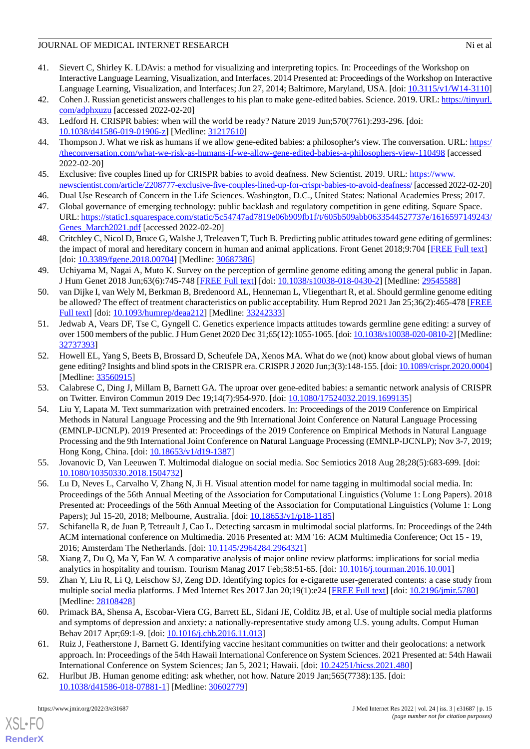- <span id="page-14-0"></span>41. Sievert C, Shirley K. LDAvis: a method for visualizing and interpreting topics. In: Proceedings of the Workshop on Interactive Language Learning, Visualization, and Interfaces. 2014 Presented at: Proceedings of the Workshop on Interactive Language Learning, Visualization, and Interfaces; Jun 27, 2014; Baltimore, Maryland, USA. [doi: [10.3115/v1/W14-3110](http://dx.doi.org/10.3115/v1/W14-3110)]
- <span id="page-14-2"></span><span id="page-14-1"></span>42. Cohen J. Russian geneticist answers challenges to his plan to make gene-edited babies. Science. 2019. URL: [https://tinyurl.](https://tinyurl.com/adphxuzu) [com/adphxuzu](https://tinyurl.com/adphxuzu) [accessed 2022-02-20]
- <span id="page-14-3"></span>43. Ledford H. CRISPR babies: when will the world be ready? Nature 2019 Jun;570(7761):293-296. [doi: [10.1038/d41586-019-01906-z](http://dx.doi.org/10.1038/d41586-019-01906-z)] [Medline: [31217610](http://www.ncbi.nlm.nih.gov/entrez/query.fcgi?cmd=Retrieve&db=PubMed&list_uids=31217610&dopt=Abstract)]
- <span id="page-14-4"></span>44. Thompson J. What we risk as humans if we allow gene-edited babies: a philosopher's view. The conversation. URL: [https:/](https://theconversation.com/what-we-risk-as-humans-if-we-allow-gene-edited-babies-a-philosophers-view-110498) [/theconversation.com/what-we-risk-as-humans-if-we-allow-gene-edited-babies-a-philosophers-view-110498](https://theconversation.com/what-we-risk-as-humans-if-we-allow-gene-edited-babies-a-philosophers-view-110498) [accessed 2022-02-20]
- <span id="page-14-5"></span>45. Exclusive: five couples lined up for CRISPR babies to avoid deafness. New Scientist. 2019. URL: [https://www.](https://www.newscientist.com/article/2208777-exclusive-five-couples-lined-up-for-crispr-babies-to-avoid-deafness/) [newscientist.com/article/2208777-exclusive-five-couples-lined-up-for-crispr-babies-to-avoid-deafness/](https://www.newscientist.com/article/2208777-exclusive-five-couples-lined-up-for-crispr-babies-to-avoid-deafness/) [accessed 2022-02-20]
- <span id="page-14-6"></span>46. Dual Use Research of Concern in the Life Sciences. Washington, D.C., United States: National Academies Press; 2017.
- <span id="page-14-7"></span>47. Global governance of emerging technology: public backlash and regulatory competition in gene editing. Square Space. URL: [https://static1.squarespace.com/static/5c54747ad7819e06b909fb1f/t/605b509abb0633544527737e/1616597149243/](https://static1.squarespace.com/static/5c54747ad7819e06b909fb1f/t/605b509abb0633544527737e/1616597149243/Genes_March2021.pdf) [Genes\\_March2021.pdf](https://static1.squarespace.com/static/5c54747ad7819e06b909fb1f/t/605b509abb0633544527737e/1616597149243/Genes_March2021.pdf) [accessed 2022-02-20]
- <span id="page-14-8"></span>48. Critchley C, Nicol D, Bruce G, Walshe J, Treleaven T, Tuch B. Predicting public attitudes toward gene editing of germlines: the impact of moral and hereditary concern in human and animal applications. Front Genet 2018;9:704 [[FREE Full text](https://doi.org/10.3389/fgene.2018.00704)] [doi: [10.3389/fgene.2018.00704](http://dx.doi.org/10.3389/fgene.2018.00704)] [Medline: [30687386](http://www.ncbi.nlm.nih.gov/entrez/query.fcgi?cmd=Retrieve&db=PubMed&list_uids=30687386&dopt=Abstract)]
- <span id="page-14-9"></span>49. Uchiyama M, Nagai A, Muto K. Survey on the perception of germline genome editing among the general public in Japan. J Hum Genet 2018 Jun;63(6):745-748 [[FREE Full text\]](http://europepmc.org/abstract/MED/29545588) [doi: [10.1038/s10038-018-0430-2](http://dx.doi.org/10.1038/s10038-018-0430-2)] [Medline: [29545588](http://www.ncbi.nlm.nih.gov/entrez/query.fcgi?cmd=Retrieve&db=PubMed&list_uids=29545588&dopt=Abstract)]
- <span id="page-14-10"></span>50. van Dijke I, van Wely M, Berkman B, Bredenoord AL, Henneman L, Vliegenthart R, et al. Should germline genome editing be allowed? The effect of treatment characteristics on public acceptability. Hum Reprod 2021 Jan 25;36(2):465-478 [\[FREE](http://europepmc.org/abstract/MED/33242333) [Full text\]](http://europepmc.org/abstract/MED/33242333) [doi: [10.1093/humrep/deaa212](http://dx.doi.org/10.1093/humrep/deaa212)] [Medline: [33242333\]](http://www.ncbi.nlm.nih.gov/entrez/query.fcgi?cmd=Retrieve&db=PubMed&list_uids=33242333&dopt=Abstract)
- <span id="page-14-11"></span>51. Jedwab A, Vears DF, Tse C, Gyngell C. Genetics experience impacts attitudes towards germline gene editing: a survey of over 1500 members of the public. J Hum Genet 2020 Dec 31;65(12):1055-1065. [doi: [10.1038/s10038-020-0810-2](http://dx.doi.org/10.1038/s10038-020-0810-2)] [Medline: [32737393](http://www.ncbi.nlm.nih.gov/entrez/query.fcgi?cmd=Retrieve&db=PubMed&list_uids=32737393&dopt=Abstract)]
- <span id="page-14-13"></span><span id="page-14-12"></span>52. Howell EL, Yang S, Beets B, Brossard D, Scheufele DA, Xenos MA. What do we (not) know about global views of human gene editing? Insights and blind spots in the CRISPR era. CRISPR J 2020 Jun;3(3):148-155. [doi: [10.1089/crispr.2020.0004\]](http://dx.doi.org/10.1089/crispr.2020.0004) [Medline: [33560915](http://www.ncbi.nlm.nih.gov/entrez/query.fcgi?cmd=Retrieve&db=PubMed&list_uids=33560915&dopt=Abstract)]
- 53. Calabrese C, Ding J, Millam B, Barnett GA. The uproar over gene-edited babies: a semantic network analysis of CRISPR on Twitter. Environ Commun 2019 Dec 19;14(7):954-970. [doi: [10.1080/17524032.2019.1699135\]](http://dx.doi.org/10.1080/17524032.2019.1699135)
- <span id="page-14-14"></span>54. Liu Y, Lapata M. Text summarization with pretrained encoders. In: Proceedings of the 2019 Conference on Empirical Methods in Natural Language Processing and the 9th International Joint Conference on Natural Language Processing (EMNLP-IJCNLP). 2019 Presented at: Proceedings of the 2019 Conference on Empirical Methods in Natural Language Processing and the 9th International Joint Conference on Natural Language Processing (EMNLP-IJCNLP); Nov 3-7, 2019; Hong Kong, China. [doi: [10.18653/v1/d19-1387\]](http://dx.doi.org/10.18653/v1/d19-1387)
- <span id="page-14-15"></span>55. Jovanovic D, Van Leeuwen T. Multimodal dialogue on social media. Soc Semiotics 2018 Aug 28;28(5):683-699. [doi: [10.1080/10350330.2018.1504732\]](http://dx.doi.org/10.1080/10350330.2018.1504732)
- <span id="page-14-17"></span><span id="page-14-16"></span>56. Lu D, Neves L, Carvalho V, Zhang N, Ji H. Visual attention model for name tagging in multimodal social media. In: Proceedings of the 56th Annual Meeting of the Association for Computational Linguistics (Volume 1: Long Papers). 2018 Presented at: Proceedings of the 56th Annual Meeting of the Association for Computational Linguistics (Volume 1: Long Papers); Jul 15-20, 2018; Melbourne, Australia. [doi:  $10.18653/v1/p18-1185$ ]
- <span id="page-14-18"></span>57. Schifanella R, de Juan P, Tetreault J, Cao L. Detecting sarcasm in multimodal social platforms. In: Proceedings of the 24th ACM international conference on Multimedia. 2016 Presented at: MM '16: ACM Multimedia Conference; Oct 15 - 19, 2016; Amsterdam The Netherlands. [doi: [10.1145/2964284.2964321\]](http://dx.doi.org/10.1145/2964284.2964321)
- <span id="page-14-19"></span>58. Xiang Z, Du Q, Ma Y, Fan W. A comparative analysis of major online review platforms: implications for social media analytics in hospitality and tourism. Tourism Manag 2017 Feb;58:51-65. [doi: [10.1016/j.tourman.2016.10.001](http://dx.doi.org/10.1016/j.tourman.2016.10.001)]
- <span id="page-14-20"></span>59. Zhan Y, Liu R, Li Q, Leischow SJ, Zeng DD. Identifying topics for e-cigarette user-generated contents: a case study from multiple social media platforms. J Med Internet Res 2017 Jan 20;19(1):e24 [[FREE Full text](https://www.jmir.org/2017/1/e24/)] [doi: [10.2196/jmir.5780](http://dx.doi.org/10.2196/jmir.5780)] [Medline: [28108428](http://www.ncbi.nlm.nih.gov/entrez/query.fcgi?cmd=Retrieve&db=PubMed&list_uids=28108428&dopt=Abstract)]
- <span id="page-14-21"></span>60. Primack BA, Shensa A, Escobar-Viera CG, Barrett EL, Sidani JE, Colditz JB, et al. Use of multiple social media platforms and symptoms of depression and anxiety: a nationally-representative study among U.S. young adults. Comput Human Behav 2017 Apr;69:1-9. [doi: [10.1016/j.chb.2016.11.013\]](http://dx.doi.org/10.1016/j.chb.2016.11.013)
- 61. Ruiz J, Featherstone J, Barnett G. Identifying vaccine hesitant communities on twitter and their geolocations: a network approach. In: Proceedings of the 54th Hawaii International Conference on System Sciences. 2021 Presented at: 54th Hawaii International Conference on System Sciences; Jan 5, 2021; Hawaii. [doi: [10.24251/hicss.2021.480\]](http://dx.doi.org/10.24251/hicss.2021.480)
- 62. Hurlbut JB. Human genome editing: ask whether, not how. Nature 2019 Jan;565(7738):135. [doi: [10.1038/d41586-018-07881-1\]](http://dx.doi.org/10.1038/d41586-018-07881-1) [Medline: [30602779\]](http://www.ncbi.nlm.nih.gov/entrez/query.fcgi?cmd=Retrieve&db=PubMed&list_uids=30602779&dopt=Abstract)